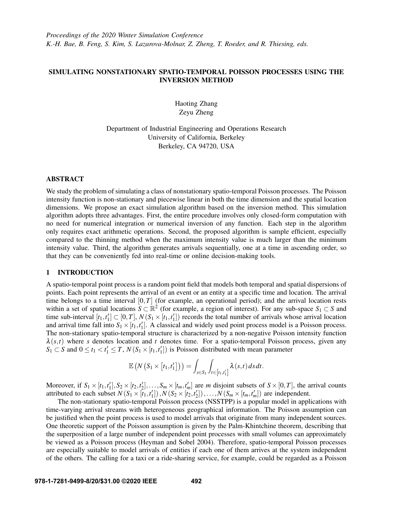# SIMULATING NONSTATIONARY SPATIO-TEMPORAL POISSON PROCESSES USING THE INVERSION METHOD

Haoting Zhang Zeyu Zheng

Department of Industrial Engineering and Operations Research University of California, Berkeley Berkeley, CA 94720, USA

## ABSTRACT

We study the problem of simulating a class of nonstationary spatio-temporal Poisson processes. The Poisson intensity function is non-stationary and piecewise linear in both the time dimension and the spatial location dimensions. We propose an exact simulation algorithm based on the inversion method. This simulation algorithm adopts three advantages. First, the entire procedure involves only closed-form computation with no need for numerical integration or numerical inversion of any function. Each step in the algorithm only requires exact arithmetic operations. Second, the proposed algorithm is sample efficient, especially compared to the thinning method when the maximum intensity value is much larger than the minimum intensity value. Third, the algorithm generates arrivals sequentially, one at a time in ascending order, so that they can be conveniently fed into real-time or online decision-making tools.

## 1 INTRODUCTION

A spatio-temporal point process is a random point field that models both temporal and spatial dispersions of points. Each point represents the arrival of an event or an entity at a specific time and location. The arrival time belongs to a time interval [0,*T*] (for example, an operational period); and the arrival location rests within a set of spatial locations  $S \subset \mathbb{R}^2$  (for example, a region of interest). For any sub-space  $S_1 \subset S$  and time sub-interval  $[t_1,t'_1] \subset [0,T]$ ,  $N(S_1 \times [t_1,t'_1])$  records the total number of arrivals whose arrival location and arrival time fall into  $S_1 \times [t_1, t_1']$ . A classical and widely used point process model is a Poisson process. The non-stationary spatio-temporal structure is characterized by a non-negative Poisson intensity function  $\lambda(s,t)$  where *s* denotes location and *t* denotes time. For a spatio-temporal Poisson process, given any  $S_1 \subset S$  and  $0 \le t_1 < t_1' \le T$ ,  $N(S_1 \times [t_1, t_1'])$  is Poisson distributed with mean parameter

$$
\mathbb{E}\left(N\left(S_1\times[t_1,t'_1]\right)\right)=\int_{s\in S_1}\int_{t\in[t_1,t'_1]}\lambda(s,t)\,ds\,dt.
$$

Moreover, if  $S_1 \times [t_1, t_1'], S_2 \times [t_2, t_2'], \ldots, S_m \times [t_m, t_m']$  are *m* disjoint subsets of  $S \times [0, T]$ , the arrival counts attributed to each subset  $N(S_1 \times [t_1, t_1'])$ ,  $N(S_2 \times [t_2, t_2'])$ , ...,  $N(S_m \times [t_m, t_m'])$  are independent.

The non-stationary spatio-temporal Poisson process (NSSTPP) is a popular model in applications with time-varying arrival streams with heterogeneous geographical information. The Poisson assumption can be justified when the point process is used to model arrivals that originate from many independent sources. One theoretic support of the Poisson assumption is given by the Palm-Khintchine theorem, describing that the superposition of a large number of independent point processes with small volumes can approximately be viewed as a Poisson process [\(Heyman and Sobel 2004\)](#page-11-0). Therefore, spatio-temporal Poisson processes are especially suitable to model arrivals of entities if each one of them arrives at the system independent of the others. The calling for a taxi or a ride-sharing service, for example, could be regarded as a Poisson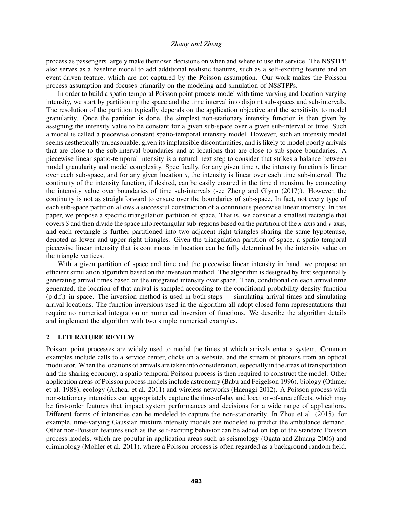process as passengers largely make their own decisions on when and where to use the service. The NSSTPP also serves as a baseline model to add additional realistic features, such as a self-exciting feature and an event-driven feature, which are not captured by the Poisson assumption. Our work makes the Poisson process assumption and focuses primarily on the modeling and simulation of NSSTPPs.

In order to build a spatio-temporal Poisson point process model with time-varying and location-varying intensity, we start by partitioning the space and the time interval into disjoint sub-spaces and sub-intervals. The resolution of the partition typically depends on the application objective and the sensitivity to model granularity. Once the partition is done, the simplest non-stationary intensity function is then given by assigning the intensity value to be constant for a given sub-space over a given sub-interval of time. Such a model is called a piecewise constant spatio-temporal intensity model. However, such an intensity model seems aesthetically unreasonable, given its implausible discontinuities, and is likely to model poorly arrivals that are close to the sub-interval boundaries and at locations that are close to sub-space boundaries. A piecewise linear spatio-temporal intensity is a natural next step to consider that strikes a balance between model granularity and model complexity. Specifically, for any given time *t*, the intensity function is linear over each sub-space, and for any given location *s*, the intensity is linear over each time sub-interval. The continuity of the intensity function, if desired, can be easily ensured in the time dimension, by connecting the intensity value over boundaries of time sub-intervals (see [Zheng and Glynn \(2017\)\)](#page-11-1). However, the continuity is not as straightforward to ensure over the boundaries of sub-space. In fact, not every type of each sub-space partition allows a successful construction of a continuous piecewise linear intensity. In this paper, we propose a specific triangulation partition of space. That is, we consider a smallest rectangle that covers *S* and then divide the space into rectangular sub-regions based on the partition of the *x*-axis and *y*-axis, and each rectangle is further partitioned into two adjacent right triangles sharing the same hypotenuse, denoted as lower and upper right triangles. Given the triangulation partition of space, a spatio-temporal piecewise linear intensity that is continuous in location can be fully determined by the intensity value on the triangle vertices.

With a given partition of space and time and the piecewise linear intensity in hand, we propose an efficient simulation algorithm based on the inversion method. The algorithm is designed by first sequentially generating arrival times based on the integrated intensity over space. Then, conditional on each arrival time generated, the location of that arrival is sampled according to the conditional probability density function (p.d.f.) in space. The inversion method is used in both steps — simulating arrival times and simulating arrival locations. The function inversions used in the algorithm all adopt closed-form representations that require no numerical integration or numerical inversion of functions. We describe the algorithm details and implement the algorithm with two simple numerical examples.

### 2 LITERATURE REVIEW

Poisson point processes are widely used to model the times at which arrivals enter a system. Common examples include calls to a service center, clicks on a website, and the stream of photons from an optical modulator. When the locations of arrivals are taken into consideration, especially in the areas of transportation and the sharing economy, a spatio-temporal Poisson process is then required to construct the model. Other application areas of Poisson process models include astronomy [\(Babu and Feigelson 1996\)](#page-10-0), biology [\(Othmer](#page-11-2) [et al. 1988\)](#page-11-2), ecology [\(Achcar et al. 2011\)](#page-10-1) and wireless networks [\(Haenggi 2012\)](#page-11-3). A Poisson process with non-stationary intensities can appropriately capture the time-of-day and location-of-area effects, which may be first-order features that impact system performances and decisions for a wide range of applications. Different forms of intensities can be modeled to capture the non-stationarity. In [Zhou et al. \(2015\),](#page-11-4) for example, time-varying Gaussian mixture intensity models are modeled to predict the ambulance demand. Other non-Poisson features such as the self-exciting behavior can be added on top of the standard Poisson process models, which are popular in application areas such as seismology [\(Ogata and Zhuang 2006\)](#page-11-5) and criminology [\(Mohler et al. 2011\)](#page-11-6), where a Poisson process is often regarded as a background random field.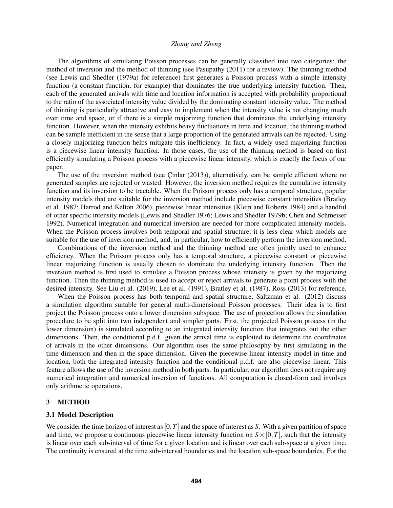The algorithms of simulating Poisson processes can be generally classified into two categories: the method of inversion and the method of thinning (see [Pasupathy \(2011\)](#page-11-7) for a review). The thinning method (see [Lewis and Shedler \(1979a\)](#page-11-8) for reference) first generates a Poisson process with a simple intensity function (a constant function, for example) that dominates the true underlying intensity function. Then, each of the generated arrivals with time and location information is accepted with probability proportional to the ratio of the associated intensity value divided by the dominating constant intensity value. The method of thinning is particularly attractive and easy to implement when the intensity value is not changing much over time and space, or if there is a simple majorizing function that dominates the underlying intensity function. However, when the intensity exhibits heavy fluctuations in time and location, the thinning method can be sample inefficient in the sense that a large proportion of the generated arrivals can be rejected. Using a closely majorizing function helps mitigate this inefficiency. In fact, a widely used majorizing function is a piecewise linear intensity function. In those cases, the use of the thinning method is based on first efficiently simulating a Poisson process with a piecewise linear intensity, which is exactly the focus of our paper.

The use of the inversion method (see Cinlar  $(2013)$ ), alternatively, can be sample efficient where no generated samples are rejected or wasted. However, the inversion method requires the cumulative intensity function and its inversion to be tractable. When the Poisson process only has a temporal structure, popular intensity models that are suitable for the inversion method include piecewise constant intensities [\(Bratley](#page-10-3) [et al. 1987;](#page-10-3) [Harrod and Kelton 2006\)](#page-11-9), piecewise linear intensities [\(Klein and Roberts 1984\)](#page-11-10) and a handful of other specific intensity models [\(Lewis and Shedler 1976;](#page-11-11) [Lewis and Shedler 1979b;](#page-11-12) [Chen and Schmeiser](#page-11-13) [1992\)](#page-11-13). Numerical integration and numerical inversion are needed for more complicated intensity models. When the Poisson process involves both temporal and spatial structure, it is less clear which models are suitable for the use of inversion method, and, in particular, how to efficiently perform the inversion method.

Combinations of the inversion method and the thinning method are often jointly used to enhance efficiency. When the Poisson process only has a temporal structure, a piecewise constant or piecewise linear majorizing function is usually chosen to dominate the underlying intensity function. Then the inversion method is first used to simulate a Poisson process whose intensity is given by the majorizing function. Then the thinning method is used to accept or reject arrivals to generate a point process with the desired intensity. See [Liu et al. \(2019\),](#page-11-14) [Lee et al. \(1991\),](#page-11-15) [Bratley et al. \(1987\),](#page-10-3) [Ross \(2013\)](#page-11-16) for reference.

When the Poisson process has both temporal and spatial structure, [Saltzman et al. \(2012\)](#page-11-17) discuss a simulation algorithm suitable for general multi-dimensional Poisson processes. Their idea is to first project the Poisson process onto a lower dimension subspace. The use of projection allows the simulation procedure to be split into two independent and simpler parts. First, the projected Poisson process (in the lower dimension) is simulated according to an integrated intensity function that integrates out the other dimensions. Then, the conditional p.d.f. given the arrival time is exploited to determine the coordinates of arrivals in the other dimensions. Our algorithm uses the same philosophy by first simulating in the time dimension and then in the space dimension. Given the piecewise linear intensity model in time and location, both the integrated intensity function and the conditional p.d.f. are also piecewise linear. This feature allows the use of the inversion method in both parts. In particular, our algorithm does not require any numerical integration and numerical inversion of functions. All computation is closed-form and involves only arithmetic operations.

## <span id="page-2-0"></span>3 METHOD

## 3.1 Model Description

We consider the time horizon of interest as  $[0, T]$  and the space of interest as *S*. With a given partition of space and time, we propose a continuous piecewise linear intensity function on  $S \times [0, T]$ , such that the intensity is linear over each sub-interval of time for a given location and is linear over each sub-space at a given time. The continuity is ensured at the time sub-interval boundaries and the location sub-space boundaries. For the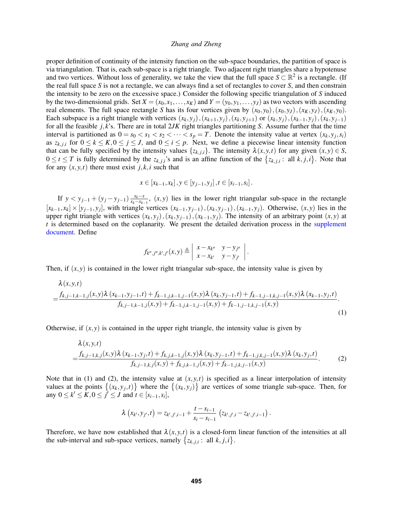proper definition of continuity of the intensity function on the sub-space boundaries, the partition of space is via triangulation. That is, each sub-space is a right triangle. Two adjacent right triangles share a hypotenuse and two vertices. Without loss of generality, we take the view that the full space  $S \subset \mathbb{R}^2$  is a rectangle. (If the real full space *S* is not a rectangle, we can always find a set of rectangles to cover *S*, and then constrain the intensity to be zero on the excessive space.) Consider the following specific triangulation of *S* induced by the two-dimensional grids. Set  $X = (x_0, x_1, \ldots, x_K)$  and  $Y = (y_0, y_1, \ldots, y_J)$  as two vectors with ascending real elements. The full space rectangle *S* has its four vertices given by  $(x_0, y_0)$ ,  $(x_0, y_J)$ ,  $(x_K, y_J)$ ,  $(x_K, y_0)$ . Each subspace is a right triangle with vertices  $(x_k, y_j), (x_{k+1}, y_j), (x_k, y_{j+1})$  or  $(x_k, y_j), (x_{k-1}, y_j), (x_k, y_{j-1})$ for all the feasible *j*, *k*'s. There are in total 2*JK* right triangles partitioning *S*. Assume further that the time interval is partitioned as  $0 = s_0 < s_1 < s_2 < \cdots < s_p = T$ . Denote the intensity value at vertex  $(x_k, y_j, s_i)$ as  $z_{k,i,i}$  for  $0 \le k \le K, 0 \le j \le J$ , and  $0 \le i \le p$ . Next, we define a piecewise linear intensity function that can be fully specified by the intensity values  $\{z_{k,j,i}\}\$ . The intensity  $\lambda(x, y, t)$  for any given  $(x, y) \in S$ ,  $0 \le t \le T$  is fully determined by the  $z_{k,j,i}$ 's and is an affine function of the  $\{z_{k,j,i}: \text{ all } k,j,i\}$ . Note that for any  $(x, y, t)$  there must exist  $j, k, i$  such that

$$
x \in [x_{k-1}, x_k], y \in [y_{j-1}, y_j], t \in [s_{i-1}, s_i].
$$

If  $y < y_{j-1} + (y_j - y_{j-1}) \frac{x_k - x_j}{x_k - x_k}$  $\frac{x_k - x}{x_k - x_{k-1}}$ ,  $(x, y)$  lies in the lower right triangular sub-space in the rectangle  $[x_{k-1},x_k] \times [y_{j-1},y_j]$ , with triangle vertices  $(x_{k-1},y_{j-1})$ ,  $(x_k,y_{j-1})$ ,  $(x_{k-1},y_j)$ . Otherwise,  $(x,y)$  lies in the upper right triangle with vertices  $(x_k, y_j)$ ,  $(x_k, y_{j-1})$ ,  $(x_{k-1}, y_j)$ . The intensity of an arbitrary point  $(x, y)$  at *t* is determined based on the coplanarity. We present the detailed derivation process in the [supplement](https://poseidon01.ssrn.com/delivery.php?ID=123003017068028118071002097014091002035005000074066087090122001004123084030027023119100028043014103061021010002026068002071095000053057080086025025065104111077001091063028037025084086088125070075105114120072080007111127071100091121122122116005001099124&EXT=pdf) [document.](https://poseidon01.ssrn.com/delivery.php?ID=123003017068028118071002097014091002035005000074066087090122001004123084030027023119100028043014103061021010002026068002071095000053057080086025025065104111077001091063028037025084086088125070075105114120072080007111127071100091121122122116005001099124&EXT=pdf) Define

<span id="page-3-1"></span><span id="page-3-0"></span>
$$
f_{k'',j'',k',j'}(x,y) \triangleq \begin{vmatrix} x - x_{k''} & y - y_{j''} \\ x - x_{k'} & y - y_{j'} \end{vmatrix}.
$$

Then, if  $(x, y)$  is contained in the lower right triangular sub-space, the intensity value is given by

$$
\lambda(x,y,t) = \frac{f_{k,j-1,k-1,j}(x,y)\lambda(x_{k-1},y_{j-1},t) + f_{k-1,j,k-1,j-1}(x,y)\lambda(x_k,y_{j-1},t) + f_{k-1,j-1,k,j-1}(x,y)\lambda(x_{k-1},y_j,t)}{f_{k,j-1,k-1,j}(x,y) + f_{k-1,j,k-1,j-1}(x,y) + f_{k-1,j-1,k,j-1}(x,y)}.
$$
\n(1)

Otherwise, if  $(x, y)$  is contained in the upper right triangle, the intensity value is given by

$$
\lambda(x, y, t)
$$
\n
$$
= \frac{f_{k,j-1,k,j}(x, y)\lambda(x_{k-1}, y_j, t) + f_{k,j,k-1,j}(x, y)\lambda(x_k, y_{j-1}, t) + f_{k-1,j,k,j-1}(x, y)\lambda(x_k, y_j, t)}{f_{k,j-1,k,j}(x, y) + f_{k,j,k-1,j}(x, y) + f_{k-1,j,k,j-1}(x, y)}.
$$
\n(2)

Note that in (1) and (2), the intensity value at  $(x, y, t)$  is specified as a linear interpolation of intensity values at the points  $\{(x_k, y_j, t)\}$  where the  $\{(x_k, y_j)\}$  are vertices of some triangle sub-space. Then, for any  $0 \le k' \le K$ ,  $0 \le j' \le J$  and  $t \in [s_{i-1}, s_i]$ ,

$$
\lambda(x_{k'},y_{j'},t) = z_{k',j',i-1} + \frac{t-s_{i-1}}{s_i-s_{i-1}}(z_{k',j',i}-z_{k',j',i-1}).
$$

Therefore, we have now established that  $\lambda(x, y, t)$  is a closed-form linear function of the intensities at all the sub-interval and sub-space vertices, namely  $\{z_{k,j,i}: \text{all } k, j, i\}.$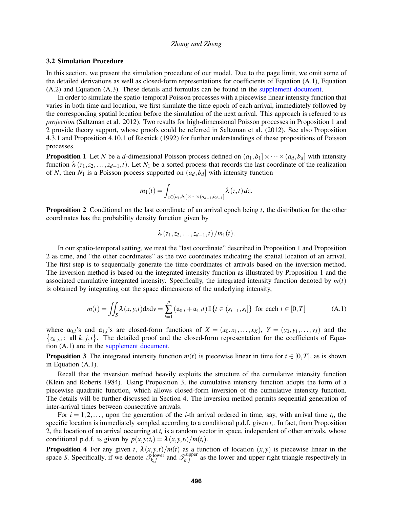### 3.2 Simulation Procedure

In this section, we present the simulation procedure of our model. Due to the page limit, we omit some of the detailed derivations as well as closed-form representations for coefficients of Equation [\(A.1\)](#page-4-0), Equation [\(A.2\)](#page-5-0) and Equation [\(A.3\)](#page-5-1). These details and formulas can be found in the [supplement document.](https://poseidon01.ssrn.com/delivery.php?ID=123003017068028118071002097014091002035005000074066087090122001004123084030027023119100028043014103061021010002026068002071095000053057080086025025065104111077001091063028037025084086088125070075105114120072080007111127071100091121122122116005001099124&EXT=pdf)

In order to simulate the spatio-temporal Poisson processes with a piecewise linear intensity function that varies in both time and location, we first simulate the time epoch of each arrival, immediately followed by the corresponding spatial location before the simulation of the next arrival. This approach is referred to as *projection* [\(Saltzman et al. 2012\)](#page-11-17). Two results for high-dimensional Poisson processes in Proposition [1](#page-4-1) and [2](#page-4-2) provide theory support, whose proofs could be referred in [Saltzman et al. \(2012\).](#page-11-17) See also Proposition 4.3.1 and Proposition 4.10.1 of [Resnick \(1992\)](#page-11-18) for further understandings of these propositions of Poisson processes.

<span id="page-4-1"></span>**Proposition 1** Let *N* be a *d*-dimensional Poisson process defined on  $(a_1, b_1] \times \cdots \times (a_d, b_d]$  with intensity function  $\lambda$  ( $z_1, z_2, \ldots, z_{d-1}, t$ ). Let  $N_1$  be a sorted process that records the last coordinate of the realization of *N*, then  $N_1$  is a Poisson process supported on  $(a_d, b_d]$  with intensity function

$$
m_1(t) = \int_{z \in (a_1,b_1] \times \cdots \times (a_{d-1},b_{d-1}]} \lambda(z,t) dz.
$$

<span id="page-4-2"></span>Proposition 2 Conditional on the last coordinate of an arrival epoch being *t*, the distribution for the other coordinates has the probability density function given by

<span id="page-4-0"></span>
$$
\lambda(z_1,z_2,\ldots,z_{d-1},t)/m_1(t).
$$

In our spatio-temporal setting, we treat the "last coordinate" described in Proposition [1](#page-4-1) and Proposition [2](#page-4-2) as time, and "the other coordinates" as the two coordinates indicating the spatial location of an arrival. The first step is to sequentially generate the time coordinates of arrivals based on the inversion method. The inversion method is based on the integrated intensity function as illustrated by Proposition [1](#page-4-1) and the associated cumulative integrated intensity. Specifically, the integrated intensity function denoted by  $m(t)$ is obtained by integrating out the space dimensions of the underlying intensity,

$$
m(t) = \iint_{S} \lambda(x, y, t) \, dx \, dy = \sum_{l=1}^{p} (\mathfrak{a}_{0,l} + \mathfrak{a}_{1,l} t) \, \mathbb{I} \{ t \in (s_{l-1}, s_l] \} \text{ for each } t \in [0, T] \tag{A.1}
$$

where  $\mathfrak{a}_{0,l}$ 's and  $\mathfrak{a}_{1,l}$ 's are closed-form functions of  $X = (x_0, x_1, \ldots, x_K)$ ,  $Y = (y_0, y_1, \ldots, y_J)$  and the  $\{z_{k,j,i}: \text{ all } k,j,i\}$ . The detailed proof and the closed-form representation for the coefficients of Equation [\(A.1\)](#page-4-0) are in the [supplement document.](https://poseidon01.ssrn.com/delivery.php?ID=123003017068028118071002097014091002035005000074066087090122001004123084030027023119100028043014103061021010002026068002071095000053057080086025025065104111077001091063028037025084086088125070075105114120072080007111127071100091121122122116005001099124&EXT=pdf)

<span id="page-4-3"></span>**Proposition 3** The integrated intensity function  $m(t)$  is piecewise linear in time for  $t \in [0, T]$ , as is shown in Equation [\(A.1\)](#page-4-0).

Recall that the inversion method heavily exploits the structure of the cumulative intensity function [\(Klein and Roberts 1984\)](#page-11-10). Using Proposition [3,](#page-4-3) the cumulative intensity function adopts the form of a piecewise quadratic function, which allows closed-form inversion of the cumulative intensity function. The details will be further discussed in Section [4.](#page-5-2) The inversion method permits sequential generation of inter-arrival times between consecutive arrivals.

For  $i = 1, 2, \ldots$ , upon the generation of the *i*-th arrival ordered in time, say, with arrival time  $t_i$ , the specific location is immediately sampled according to a conditional p.d.f. given *t<sup>i</sup>* . In fact, from Proposition [2,](#page-4-2) the location of an arrival occurring at  $t_i$  is a random vector in space, independent of other arrivals, whose conditional p.d.f. is given by  $p(x, y; t_i) = \lambda(x, y, t_i)/m(t_i)$ .

**Proposition 4** For any given *t*,  $\lambda(x, y, t) / m(t)$  as a function of location  $(x, y)$  is piecewise linear in the space *S*. Specifically, if we denote  $\mathscr{T}_{k,j}^{\text{lower}}$  and  $\mathscr{T}_{k,j}^{\text{upper}}$  $\chi_{k,j}^{\text{upper}}$  as the lower and upper right triangle respectively in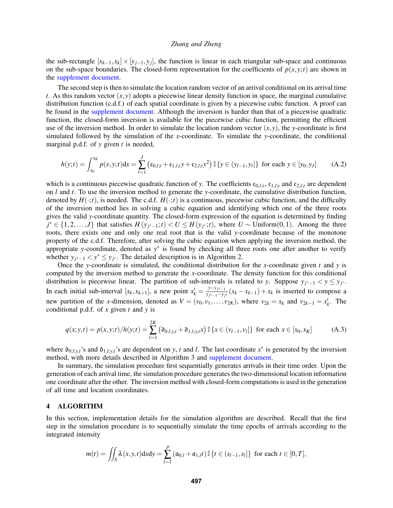the sub-rectangle  $[x_{k-1}, x_k] \times [y_{j-1}, y_j]$ , the function is linear in each triangular sub-space and continuous on the sub-space boundaries. The closed-form representation for the coefficients of  $p(x, y; t)$  are shown in the [supplement document.](https://poseidon01.ssrn.com/delivery.php?ID=123003017068028118071002097014091002035005000074066087090122001004123084030027023119100028043014103061021010002026068002071095000053057080086025025065104111077001091063028037025084086088125070075105114120072080007111127071100091121122122116005001099124&EXT=pdf)

The second step is then to simulate the location random vector of an arrival conditional on its arrival time *t*. As this random vector  $(x, y)$  adopts a piecewise linear density function in space, the marginal cumulative distribution function (c.d.f.) of each spatial coordinate is given by a piecewise cubic function. A proof can be found in the [supplement document.](https://poseidon01.ssrn.com/delivery.php?ID=123003017068028118071002097014091002035005000074066087090122001004123084030027023119100028043014103061021010002026068002071095000053057080086025025065104111077001091063028037025084086088125070075105114120072080007111127071100091121122122116005001099124&EXT=pdf) Although the inversion is harder than that of a piecewise quadratic function, the closed-form inversion is available for the piecewise cubic function, permitting the efficient use of the inversion method. In order to simulate the location random vector  $(x, y)$ , the *y*-coordinate is first simulated followed by the simulation of the *x*-coordinate. To simulate the *y*-coordinate, the conditional marginal p.d.f. of *y* given *t* is needed,

<span id="page-5-0"></span>
$$
h(y;t) = \int_{x_0}^{x_K} p(x,y;t)dx = \sum_{l=1}^{J} \left( c_{0,l;t} + c_{1,l;t} y + c_{2,l;t} y^2 \right) \mathbb{I} \left\{ y \in (y_{l-1}, y_l] \right\} \text{ for each } y \in [y_0, y_J] \tag{A.2}
$$

which is a continuous piecewise quadratic function of *y*. The coefficients  $c_{0,l;t}$ ,  $c_{1,l;t}$  and  $c_{2,l;t}$  are dependent on *l* and *t*. To use the inversion method to generate the *y*-coordinate, the cumulative distribution function, denoted by  $H(\cdot;t)$ , is needed. The c.d.f.  $H(\cdot;t)$  is a continuous, piecewise cubic function, and the difficulty of the inversion method lies in solving a cubic equation and identifying which one of the three roots gives the valid *y*-coordinate quantity. The closed-form expression of the equation is determined by finding  $j^* \in \{1, 2, \ldots, J\}$  that satisfies  $H(y_{j^*-1}; t) < U \leq H(y_{j^*}; t)$ , where  $U \sim \text{Uniform}(0, 1)$ . Among the three roots, there exists one and only one real root that is the valid *y*-coordinate because of the monotone property of the c.d.f. Therefore, after solving the cubic equation when applying the inversion method, the appropriate *y*-coordinate, denoted as  $y^*$  is found by checking all three roots one after another to verify whether  $y_{j^*-1} < y^* \leq y_{j^*}$ . The detailed description is in Algorithm [2.](#page-7-0)

Once the *y*-coordinate is simulated, the conditional distribution for the *x*-coordinate given *t* and *y* is computed by the inversion method to generate the *x*-coordinate. The density function for this conditional distribution is piecewise linear. The partition of sub-intervals is related to *y*. Suppose  $y_{j^*-1} < y \le y_{j^*}$ . In each initial sub-interval  $[x_k, x_{k+1}]$ , a new point  $x'_k = \frac{y - y_{j^* - 1}}{y_{j^* - 1} - y_j}$ *y*<sub>*y*\*-1</sub>−*y<sub>j</sub>*\*</sup> ( $x_k - x_{k-1}$ ) +  $x_k$  is inserted to compose a new partition of the *x*-dimension, denoted as  $V = (v_0, v_1, \ldots, v_{2K})$ , where  $v_{2k} = x_k$  and  $v_{2k-1} = x'_k$ . The conditional p.d.f. of *x* given *t* and *y* is

<span id="page-5-1"></span>
$$
q(x; y, t) = p(x, y; t) / h(y; t) = \sum_{l=1}^{2K} \left( \mathfrak{d}_{0,l;y,t} + \mathfrak{d}_{1,l;y,t} x \right) \mathbb{I} \left\{ x \in (v_{l-1}, v_l] \right\} \text{ for each } x \in [x_0, x_K]
$$
(A.3)

where  $\mathfrak{d}_{0,l; y,t}$ 's and  $\mathfrak{d}_{1,l; y,t}$ 's are dependent on *y*, *t* and *l*. The last coordinate  $x^*$  is generated by the inversion method, with more details described in Algorithm [3](#page-8-0) and [supplement document.](https://poseidon01.ssrn.com/delivery.php?ID=123003017068028118071002097014091002035005000074066087090122001004123084030027023119100028043014103061021010002026068002071095000053057080086025025065104111077001091063028037025084086088125070075105114120072080007111127071100091121122122116005001099124&EXT=pdf)

In summary, the simulation procedure first sequentially generates arrivals in their time order. Upon the generation of each arrival time, the simulation procedure generates the two-dimensional location information one coordinate after the other. The inversion method with closed-form computations is used in the generation of all time and location coordinates.

## <span id="page-5-2"></span>4 ALGORITHM

In this section, implementation details for the simulation algorithm are described. Recall that the first step in the simulation procedure is to sequentially simulate the time epochs of arrivals according to the integrated intensity

$$
m(t) = \iint_{S} \lambda(x, y, t) dxdy = \sum_{l=1}^{p} (\mathfrak{a}_{0,l} + \mathfrak{a}_{1,l}t) \mathbb{I} \{t \in (s_{l-1}, s_{l}]\} \text{ for each } t \in [0, T],
$$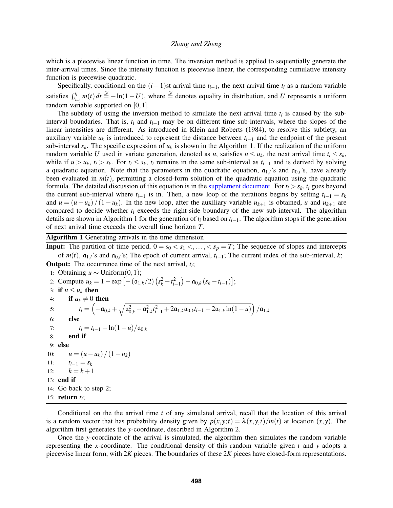which is a piecewise linear function in time. The inversion method is applied to sequentially generate the inter-arrival times. Since the intensity function is piecewise linear, the corresponding cumulative intensity function is piecewise quadratic.

Specifically, conditional on the  $(i-1)$ st arrival time  $t_{i-1}$ , the next arrival time  $t_i$  as a random variable satisfies  $\int_{t_{i-1}}^{t_i} m(t) dt \stackrel{\mathscr{D}}{=} -\ln(1-U)$ , where  $\stackrel{\mathscr{D}}{=}$  denotes equality in distribution, and *U* represents a uniform random variable supported on [0, 1].

The subtlety of using the inversion method to simulate the next arrival time  $t_i$  is caused by the subinterval boundaries. That is, *t<sup>i</sup>* and *ti*−<sup>1</sup> may be on different time sub-intervals, where the slopes of the linear intensities are different. As introduced in [Klein and Roberts \(1984\),](#page-11-10) to resolve this subtlety, an auxiliary variable  $u_k$  is introduced to represent the distance between  $t_{i-1}$  and the endpoint of the present sub-interval  $s_k$ . The specific expression of  $u_k$  is shown in the Algorithm [1.](#page-6-0) If the realization of the uniform random variable *U* used in variate generation, denoted as *u*, satisfies  $u \le u_k$ , the next arrival time  $t_i \le s_k$ , while if  $u > u_k$ ,  $t_i > s_k$ . For  $t_i \leq s_k$ ,  $t_i$  remains in the same sub-interval as  $t_{i-1}$  and is derived by solving a quadratic equation. Note that the parameters in the quadratic equation,  $a_{1,l}$ 's and  $a_{0,l}$ 's, have already been evaluated in  $m(t)$ , permitting a closed-form solution of the quadratic equation using the quadratic formula. The detailed discussion of this equation is in the [supplement document.](https://poseidon01.ssrn.com/delivery.php?ID=123003017068028118071002097014091002035005000074066087090122001004123084030027023119100028043014103061021010002026068002071095000053057080086025025065104111077001091063028037025084086088125070075105114120072080007111127071100091121122122116005001099124&EXT=pdf) For  $t_i > s_k$ ,  $t_i$  goes beyond the current sub-interval where  $t_{i-1}$  is in. Then, a new loop of the iterations begins by setting  $t_{i-1} = s_k$ and  $u = (u - u_k)/(1 - u_k)$ . In the new loop, after the auxiliary variable  $u_{k+1}$  is obtained, *u* and  $u_{k+1}$  are compared to decide whether *t<sup>i</sup>* exceeds the right-side boundary of the new sub-interval. The algorithm details are shown in Algorithm [1](#page-6-0) for the generation of  $t_i$  based on  $t_{i-1}$ . The algorithm stops if the generation of next arrival time exceeds the overall time horizon *T*.

<span id="page-6-0"></span>Algorithm 1 Generating arrivals in the time dimension

**Input:** The partition of time period,  $0 = s_0 < s_1 < \ldots < s_p = T$ ; The sequence of slopes and intercepts of  $m(t)$ ,  $a_{1,l}$ 's and  $a_{0,l}$ 's; The epoch of current arrival,  $t_{i-1}$ ; The current index of the sub-interval,  $k$ ; Output: The occurrence time of the next arrival, *t<sup>i</sup>* ;

1: Obtaining *u* ∼ Uniform(0,1); 2: Compute  $u_k = 1 - \exp[-(\mathfrak{a}_{1,k}/2)(s_k^2 - t_{i-1}^2) - \mathfrak{a}_{0,k}(s_k - t_{i-1})];$ 3: if  $u \leq u_k$  then 4: if  $a_k \neq 0$  then  $t_i = \left(-\mathfrak{a}_{0,k} + \sqrt{\mathfrak{a}_{0,k}^2 + \mathfrak{a}_{1,k}^2 t_{i-1}^2 + 2\mathfrak{a}_{1,k} \mathfrak{a}_{0,k} t_{i-1} - 2\mathfrak{a}_{1,k} \ln(1-u)}\right)/\mathfrak{a}_{1,k}$  $6:$ 7:  $t_i = t_{i-1} - \ln(1-u)/\mathfrak{a}_{0,k}$ 8: end if 9: else 10:  $u = (u - u_k)/(1 - u_k)$ 11:  $t_{i-1} = s_k$ 12:  $k = k + 1$ 13: end if 14: Go back to step 2; 15: return *t<sup>i</sup>* ;

Conditional on the the arrival time *t* of any simulated arrival, recall that the location of this arrival is a random vector that has probability density given by  $p(x, y; t) = \lambda(x, y, t) / m(t)$  at location  $(x, y)$ . The algorithm first generates the *y*-coordinate, described in Algorithm [2.](#page-7-0)

Once the *y*-coordinate of the arrival is simulated, the algorithm then simulates the random variable representing the *x*-coordinate. The conditional density of this random variable given *t* and *y* adopts a piecewise linear form, with 2*K* pieces. The boundaries of these 2*K* pieces have closed-form representations.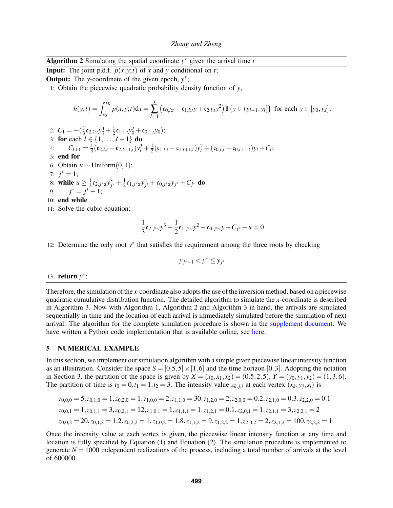# <span id="page-7-0"></span>Algorithm 2 Simulating the spatial coordinate  $y^*$  given the arrival time  $t$

**Input:** The joint p.d.f.  $p(x, y; t)$  of *x* and *y* conditional on *t*;

**Output:** The *y*-coordinate of the given epoch,  $y^*$ ;

1: Obtain the piecewise quadratic probability density function of *y*,

$$
h(y;t) = \int_{x_0}^{x_K} p(x,y;t)dx = \sum_{l=1}^{J} (c_{0,l;t} + c_{1,l;t}y + c_{2,l;t}y^2) \mathbb{I} \{y \in (y_{l-1},y_l]\} \text{ for each } y \in [y_0,y_J];
$$

- 2:  $C_1 = -(\frac{1}{3})$  $\frac{1}{3}$ **c**<sub>2</sub>,<sub>1;*t*</sub> $y_0^3 + \frac{1}{2}$  $\frac{1}{2}\mathfrak{c}_{1,1;t}y_0^2 + \mathfrak{c}_{0,1;t}y_0);$ 3: for each  $l \in \{1, ..., J-1\}$  do 4:  $C_{l+1} = \frac{1}{3}$  $\frac{1}{3}$ (**c**<sub>2,*l*;*t*</sub> - **c**<sub>2,*l*+1;*t*</sub>)*y*<sub>*l*</sub><sup>3</sup> +  $\frac{1}{2}$  $\frac{1}{2}$ (**c**<sub>1,*l*;*t*</sub> - **c**<sub>1,*l*+1;*t*</sub>)*y*<sub>*l*</sub> + (**c**<sub>0,*l*;*t*</sub> - **c**<sub>0,*l*+1;*t*</sub>)*y*<sub>*l*</sub> + *C*<sub>*l*</sub>; 5: end for 6: Obtain  $u \sim$  Uniform(0,1); 7:  $j^* = 1;$ 8: while  $u \geq \frac{1}{3}$  $\frac{1}{3}$ **c**<sub>2,*j*\*;*t*</sub>*y*<sup>3</sup><sub>*j*\*</sub> +  $\frac{1}{2}$  $\frac{1}{2}$ **c**<sub>1, *j*\*;*t*</sub>*y*<sub>*j*\*</sub> + **c**<sub>0, *j*\*;*ty*<sub>*j*\*</sub> + *C*<sub>*j*\*</sub> **do**</sub> 9:  $j^* = j^* + 1;$ 10: end while
- 11: Solve the cubic equation:

$$
\frac{1}{3}\mathfrak{c}_{2,j^*;t}y^3 + \frac{1}{2}\mathfrak{c}_{1,j^*;t}y^2 + \mathfrak{c}_{0,j^*;t}y + C_{j^*} - u = 0
$$

12: Determine the only root y<sup>\*</sup> that satisfies the requirement among the three roots by checking

$$
y_{j^*-1} < y^* \le y_{j^*}
$$

# 13: **return**  $y^*$ ;

Therefore, the simulation of the *x*-coordinate also adopts the use of the inversion method, based on a piecewise quadratic cumulative distribution function. The detailed algorithm to simulate the *x*-coordinate is described in Algorithm [3.](#page-8-0) Now with Algorithm [1,](#page-6-0) Algorithm [2](#page-7-0) and Algorithm [3](#page-8-0) in hand, the arrivals are simulated sequentially in time and the location of each arrival is immediately simulated before the simulation of next arrival. The algorithm for the complete simulation procedure is shown in the [supplement document.](https://poseidon01.ssrn.com/delivery.php?ID=123003017068028118071002097014091002035005000074066087090122001004123084030027023119100028043014103061021010002026068002071095000053057080086025025065104111077001091063028037025084086088125070075105114120072080007111127071100091121122122116005001099124&EXT=pdf) We have written a Python code implementation that is available online, see [here.](https://github.com/h961118/Simulating-the-Nonstationary-Spatio-temporal-Poisson-Processes-Using-the-Inversion-Method)

#### 5 NUMERICAL EXAMPLE

In this section, we implement our simulation algorithm with a simple given piecewise linear intensity function as an illustration. Consider the space  $S = [0.5, 5] \times [1, 6]$  and the time horizon [0,3]. Adopting the notation in Section [3,](#page-2-0) the partition of the space is given by  $X = (x_0, x_1, x_2) = (0.5, 2, 5), Y = (y_0, y_1, y_2) = (1, 3, 6).$ The partition of time is  $t_0 = 0, t_1 = 1, t_2 = 3$ . The intensity value  $z_{k,j,i}$  at each vertex  $(x_k, y_j, s_i)$  is

$$
z_{0,0,0} = 5, z_{0,1,0} = 1, z_{0,2,0} = 1, z_{1,0,0} = 2, z_{1,1,0} = 30, z_{1,2,0} = 2, z_{2,0,0} = 0.2, z_{2,1,0} = 0.3, z_{2,2,0} = 0.1
$$
  
\n
$$
z_{0,0,1} = 1, z_{0,1,1} = 3, z_{0,2,1} = 12, z_{1,0,1} = 1, z_{1,1,1} = 1, z_{1,2,1} = 0.1, z_{2,0,1} = 1, z_{2,1,1} = 3, z_{2,2,1} = 2
$$
  
\n
$$
z_{0,0,2} = 20, z_{0,1,2} = 1.2, z_{0,2,2} = 1, z_{1,0,2} = 1.8, z_{1,1,2} = 9, z_{1,2,2} = 1, z_{2,0,2} = 2, z_{2,1,2} = 100, z_{2,2,2} = 1.
$$

Once the intensity value at each vertex is given, the piecewise linear intensity function at any time and location is fully specified by Equation [\(1\)](#page-3-0) and Equation [\(2\)](#page-3-1). The simulation procedure is implemented to generate  $N = 1000$  independent realizations of the process, including a total number of arrivals at the level of 600000.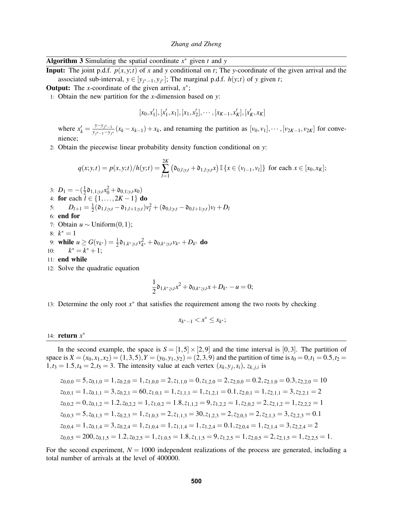<span id="page-8-0"></span>Algorithm 3 Simulating the spatial coordinate *x* <sup>∗</sup> given *t* and *y*

**Input:** The joint p.d.f.  $p(x, y; t)$  of x and y conditional on t; The y-coordinate of the given arrival and the associated sub-interval,  $y \in [y_{j^*-1}, y_{j^*}]$ ; The marginal p.d.f.  $h(y; t)$  of y given *t*;

**Output:** The *x*-coordinate of the given arrival,  $x^*$ ;

1: Obtain the new partition for the *x*-dimension based on *y*:

$$
[x_0, x'_1], [x'_1, x_1], [x_1, x'_2], \cdots, [x_{K-1}, x'_K], [x'_K, x_K]
$$

where  $x'_k = \frac{y - y_{j^* - 1}}{y_{j^* - 1} - y_j}$  $y = y_{j^* - 1} - y_{j^*}$  ( $x_k - x_{k-1}$ ) +  $x_k$ , and renaming the partition as [*v*<sub>0</sub>, *v*<sub>1</sub>], ···, [*v*<sub>2*K*−1</sub>, *v*<sub>2*K*</sub>] for convenience;

2: Obtain the piecewise linear probability density function conditional on *y*:

$$
q(x; y, t) = p(x, y; t) / h(y; t) = \sum_{l=1}^{2K} \left( \mathfrak{d}_{0, l; y, t} + \mathfrak{d}_{1, l; y, t} x \right) \mathbb{I} \left\{ x \in (v_{l-1}, v_l] \right\} \text{ for each } x \in [x_0, x_K];
$$

3:  $D_1 = -(\frac{1}{2}\mathfrak{d}_{1,1; y,t}x_0^2 + \mathfrak{d}_{0,1; y,t}x_0)$ 2.  $D_1 = -\frac{5}{2} \cdot 1, 1; y, t \cdot 0 \cdot 0 + \frac{5}{2} \cdot 1, 2K - 1$  do<br>4: **for** each *l* ∈ {1,...,2*K* − 1} do 5:  $D_{l+1} = \frac{1}{2}$  $\frac{1}{2}(\mathfrak{d}_{1,l;y,t} - \mathfrak{d}_{1,l+1;y,t})v_l^2 + (\mathfrak{d}_{0,l;y,t} - \mathfrak{d}_{0,l+1;y,t})v_l + D_l$ 6: end for 7: Obtain *u* ∼ Uniform(0,1); 8:  $k^* = 1$ 

9: while 
$$
u \ge G(v_{k^*}) = \frac{1}{2} \mathfrak{d}_{1,k^*;y,t} v_{k^*}^2 + \mathfrak{d}_{0,k^*;y,t} v_{k^*} + D_{k^*}
$$
 do

- 10: *k*  $* = k^* + 1;$
- 11: end while
- 12: Solve the quadratic equation

$$
\frac{1}{2}\mathfrak{d}_{1,k^*;y,t}x^2+\mathfrak{d}_{0,k^*;y,t}x+D_{k^*}-u=0;
$$

13: Determine the only root  $x^*$  that satisfies the requirement among the two roots by checking

$$
x_{k^*-1} < x^* \le x_{k^*};
$$

# 14: return *x* ∗

In the second example, the space is  $S = [1, 5] \times [2, 9]$  and the time interval is [0,3]. The partition of space is  $X = (x_0, x_1, x_2) = (1, 3, 5), Y = (y_0, y_1, y_2) = (2, 3, 9)$  and the partition of time is  $t_0 = 0, t_1 = 0.5, t_2 = 0$  $1,t_3 = 1.5, t_4 = 2, t_5 = 3$ . The intensity value at each vertex  $(x_k, y_j, s_i)$ ,  $z_{k,j,i}$  is

$$
z_{0,0,0} = 5, z_{0,1,0} = 1, z_{0,2,0} = 1, z_{1,0,0} = 2, z_{1,1,0} = 0, z_{1,2,0} = 2, z_{2,0,0} = 0.2, z_{2,1,0} = 0.3, z_{2,2,0} = 10
$$
  
\n
$$
z_{0,0,1} = 1, z_{0,1,1} = 3, z_{0,2,1} = 60, z_{1,0,1} = 1, z_{1,1,1} = 1, z_{1,2,1} = 0.1, z_{2,0,1} = 1, z_{2,1,1} = 3, z_{2,2,1} = 2
$$
  
\n
$$
z_{0,0,2} = 0, z_{0,1,2} = 1.2, z_{0,2,2} = 1, z_{1,0,2} = 1.8, z_{1,1,2} = 9, z_{1,2,2} = 1, z_{2,0,2} = 2, z_{2,1,2} = 1, z_{2,2,2} = 1
$$
  
\n
$$
z_{0,0,3} = 5, z_{0,1,3} = 1, z_{0,2,3} = 1, z_{1,0,3} = 2, z_{1,1,3} = 30, z_{1,2,3} = 2, z_{2,0,3} = 2, z_{2,1,3} = 3, z_{2,2,3} = 0.1
$$
  
\n
$$
z_{0,0,4} = 1, z_{0,1,4} = 3, z_{0,2,4} = 1, z_{1,0,4} = 1, z_{1,1,4} = 1, z_{1,2,4} = 0.1, z_{2,0,4} = 1, z_{2,1,4} = 3, z_{2,2,4} = 2
$$
  
\n
$$
z_{0,0,5} = 200, z_{0,1,5} = 1.2, z_{0,2,5} = 1, z_{1,0,5} = 1.8, z_{1,1,5} = 9, z_{1,2,5} = 1, z_{2,0,5} = 2, z_{2,1,5} = 1, z_{2,2,5} = 1.
$$

For the second experiment,  $N = 1000$  independent realizations of the process are generated, including a total number of arrivals at the level of 400000.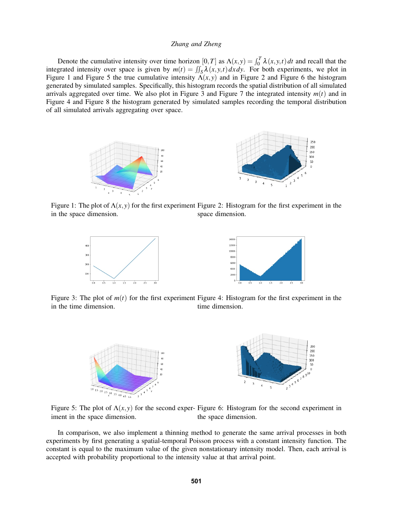Denote the cumulative intensity over time horizon  $[0, T]$  as  $\Lambda(x, y) = \int_0^T \lambda(x, y, t) dt$  and recall that the integrated intensity over space is given by  $m(t) = \iint_S \lambda(x, y, t) dx dy$ . For both experiments, we plot in Figure [1](#page-9-0) and Figure [5](#page-9-1) the true cumulative intensity  $\Lambda(x, y)$  and in Figure [2](#page-9-2) and Figure [6](#page-9-3) the histogram generated by simulated samples. Specifically, this histogram records the spatial distribution of all simulated arrivals aggregated over time. We also plot in Figure [3](#page-9-4) and Figure [7](#page-10-4) the integrated intensity  $m(t)$  and in Figure [4](#page-9-5) and Figure [8](#page-10-5) the histogram generated by simulated samples recording the temporal distribution of all simulated arrivals aggregating over space.



<span id="page-9-0"></span>Figure 1: The plot of  $\Lambda(x, y)$  for the first experiment Figure 2: Histogram for the first experiment in the in the space dimension. space dimension.

<span id="page-9-2"></span>

<span id="page-9-4"></span>Figure 3: The plot of  $m(t)$  for the first experiment Figure 4: Histogram for the first experiment in the in the time dimension. time dimension.

<span id="page-9-5"></span><span id="page-9-3"></span>

<span id="page-9-1"></span>Figure 5: The plot of  $\Lambda(x, y)$  for the second exper- Figure 6: Histogram for the second experiment in iment in the space dimension. the space dimension.

In comparison, we also implement a thinning method to generate the same arrival processes in both experiments by first generating a spatial-temporal Poisson process with a constant intensity function. The constant is equal to the maximum value of the given nonstationary intensity model. Then, each arrival is accepted with probability proportional to the intensity value at that arrival point.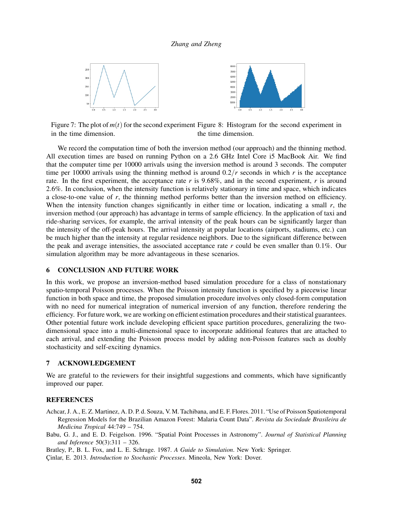<span id="page-10-5"></span>

<span id="page-10-4"></span>Figure 7: The plot of  $m(t)$  for the second experiment Figure 8: Histogram for the second experiment in in the time dimension. the time dimension.

We record the computation time of both the inversion method (our approach) and the thinning method. All execution times are based on running Python on a 2.6 GHz Intel Core i5 MacBook Air. We find that the computer time per 10000 arrivals using the inversion method is around 3 seconds. The computer time per 10000 arrivals using the thinning method is around  $0.2/r$  seconds in which r is the acceptance rate. In the first experiment, the acceptance rate *r* is 9.68%, and in the second experiment, *r* is around 2.6%. In conclusion, when the intensity function is relatively stationary in time and space, which indicates a close-to-one value of *r*, the thinning method performs better than the inversion method on efficiency. When the intensity function changes significantly in either time or location, indicating a small *r*, the inversion method (our approach) has advantage in terms of sample efficiency. In the application of taxi and ride-sharing services, for example, the arrival intensity of the peak hours can be significantly larger than the intensity of the off-peak hours. The arrival intensity at popular locations (airports, stadiums, etc.) can be much higher than the intensity at regular residence neighbors. Due to the significant difference between the peak and average intensities, the associated acceptance rate *r* could be even smaller than 0.1%. Our simulation algorithm may be more advantageous in these scenarios.

### 6 CONCLUSION AND FUTURE WORK

In this work, we propose an inversion-method based simulation procedure for a class of nonstationary spatio-temporal Poisson processes. When the Poisson intensity function is specified by a piecewise linear function in both space and time, the proposed simulation procedure involves only closed-form computation with no need for numerical integration of numerical inversion of any function, therefore rendering the efficiency. For future work, we are working on efficient estimation procedures and their statistical guarantees. Other potential future work include developing efficient space partition procedures, generalizing the twodimensional space into a multi-dimensional space to incorporate additional features that are attached to each arrival, and extending the Poisson process model by adding non-Poisson features such as doubly stochasticity and self-exciting dynamics.

## 7 ACKNOWLEDGEMENT

We are grateful to the reviewers for their insightful suggestions and comments, which have significantly improved our paper.

### **REFERENCES**

- <span id="page-10-1"></span>Achcar, J. A., E. Z. Martinez, A. D. P. d. Souza, V. M. Tachibana, and E. F. Flores. 2011. "Use of Poisson Spatiotemporal Regression Models for the Brazilian Amazon Forest: Malaria Count Data". *Revista da Sociedade Brasileira de Medicina Tropical* 44:749 – 754.
- <span id="page-10-0"></span>Babu, G. J., and E. D. Feigelson. 1996. "Spatial Point Processes in Astronomy". *Journal of Statistical Planning and Inference* 50(3):311 – 326.

<span id="page-10-3"></span>Bratley, P., B. L. Fox, and L. E. Schrage. 1987. *A Guide to Simulation*. New York: Springer.

<span id="page-10-2"></span>Çinlar, E. 2013. *Introduction to Stochastic Processes*. Mineola, New York: Dover.